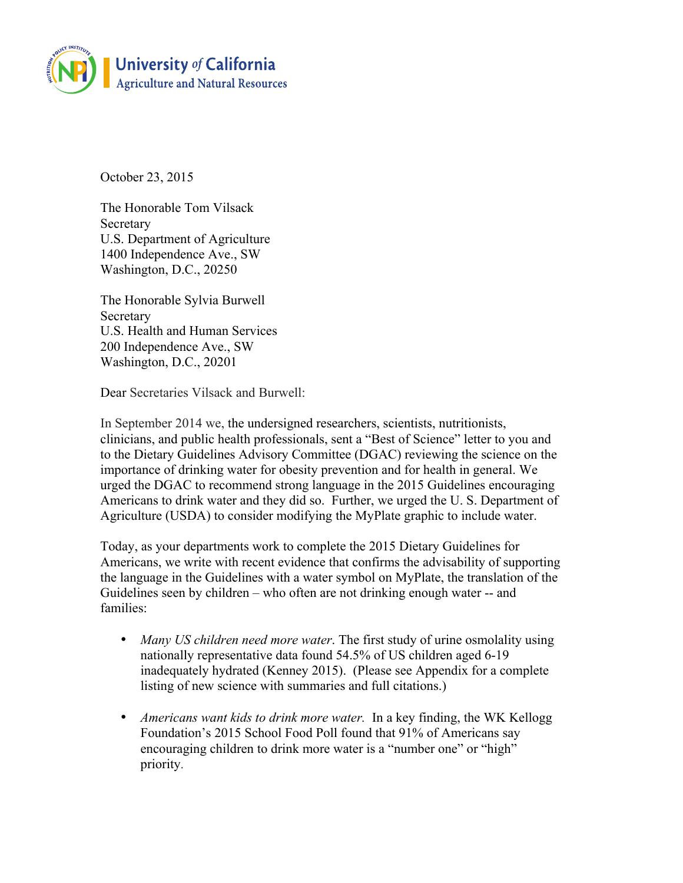

October 23, 2015

The Honorable Tom Vilsack Secretary U.S. Department of Agriculture 1400 Independence Ave., SW Washington, D.C., 20250

The Honorable Sylvia Burwell Secretary U.S. Health and Human Services 200 Independence Ave., SW Washington, D.C., 20201

Dear Secretaries Vilsack and Burwell:

In September 2014 we, the undersigned researchers, scientists, nutritionists, clinicians, and public health professionals, sent a "Best of Science" letter to you and to the Dietary Guidelines Advisory Committee (DGAC) reviewing the science on the importance of drinking water for obesity prevention and for health in general. We urged the DGAC to recommend strong language in the 2015 Guidelines encouraging Americans to drink water and they did so. Further, we urged the U. S. Department of Agriculture (USDA) to consider modifying the MyPlate graphic to include water.

Today, as your departments work to complete the 2015 Dietary Guidelines for Americans, we write with recent evidence that confirms the advisability of supporting the language in the Guidelines with a water symbol on MyPlate, the translation of the Guidelines seen by children – who often are not drinking enough water -- and families:

- *Many US children need more water*. The first study of urine osmolality using nationally representative data found 54.5% of US children aged 6-19 inadequately hydrated (Kenney 2015). (Please see Appendix for a complete listing of new science with summaries and full citations.)
- *Americans want kids to drink more water.* In a key finding, the WK Kellogg Foundation's 2015 School Food Poll found that 91% of Americans say encouraging children to drink more water is a "number one" or "high" priority.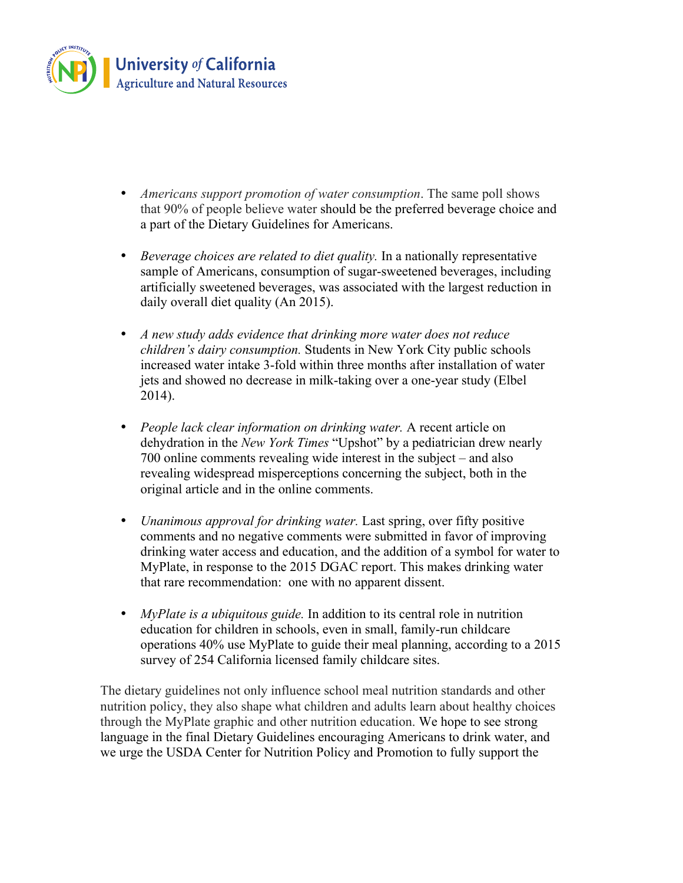

- *Americans support promotion of water consumption*. The same poll shows that 90% of people believe water should be the preferred beverage choice and a part of the Dietary Guidelines for Americans.
- *Beverage choices are related to diet quality.* In a nationally representative sample of Americans, consumption of sugar-sweetened beverages, including artificially sweetened beverages, was associated with the largest reduction in daily overall diet quality (An 2015).
- *A new study adds evidence that drinking more water does not reduce children's dairy consumption.* Students in New York City public schools increased water intake 3-fold within three months after installation of water jets and showed no decrease in milk-taking over a one-year study (Elbel 2014).
- *People lack clear information on drinking water.* A recent article on dehydration in the *New York Times* "Upshot" by a pediatrician drew nearly 700 online comments revealing wide interest in the subject – and also revealing widespread misperceptions concerning the subject, both in the original article and in the online comments.
- *Unanimous approval for drinking water.* Last spring, over fifty positive comments and no negative comments were submitted in favor of improving drinking water access and education, and the addition of a symbol for water to MyPlate, in response to the 2015 DGAC report. This makes drinking water that rare recommendation: one with no apparent dissent.
- *MyPlate is a ubiquitous guide*. In addition to its central role in nutrition education for children in schools, even in small, family-run childcare operations 40% use MyPlate to guide their meal planning, according to a 2015 survey of 254 California licensed family childcare sites.

The dietary guidelines not only influence school meal nutrition standards and other nutrition policy, they also shape what children and adults learn about healthy choices through the MyPlate graphic and other nutrition education. We hope to see strong language in the final Dietary Guidelines encouraging Americans to drink water, and we urge the USDA Center for Nutrition Policy and Promotion to fully support the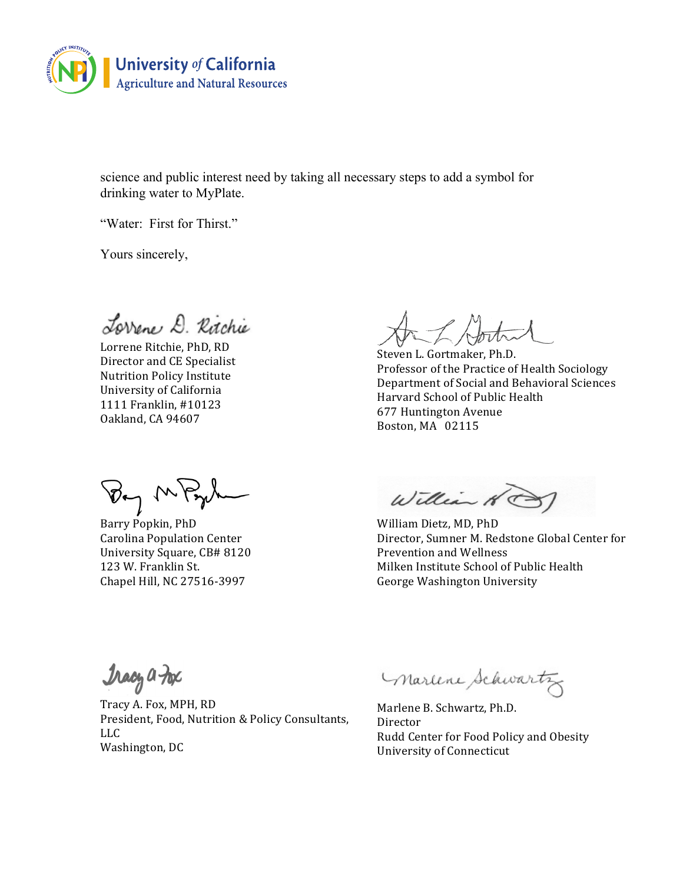

science and public interest need by taking all necessary steps to add a symbol for drinking water to MyPlate.

"Water: First for Thirst."

Yours sincerely,

Lorrene D. Ritchie

Lorrene Ritchie, PhD, RD Director and CE Specialist Nutrition Policy Institute University of California 1111 Franklin, #10123 Oakland, CA 94607

By M

Barry Popkin, PhD Carolina Population Center University Square, CB# 8120 123 W. Franklin St. Chapel Hill, NC 27516-3997

Steven L. Gortmaker, Ph.D. Professor of the Practice of Health Sociology Department of Social and Behavioral Sciences Harvard School of Public Health 677 Huntington Avenue Boston, MA 02115

William

William Dietz, MD, PhD Director, Sumner M. Redstone Global Center for Prevention and Wellness Milken Institute School of Public Health George Washington University

Tracy a Fox

Tracy A. Fox, MPH, RD President, Food, Nutrition & Policy Consultants, LLC Washington, DC

marline Schwartz

Marlene B. Schwartz, Ph.D. Director Rudd Center for Food Policy and Obesity University of Connecticut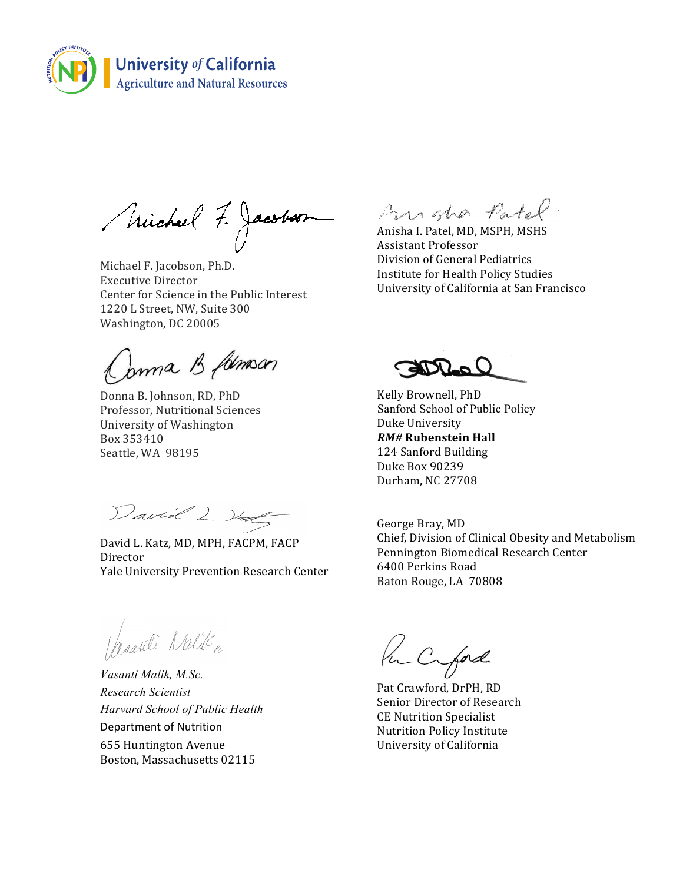

Michael 7. Jacobson

Michael F. Jacobson, Ph.D. Executive Director Center for Science in the Public Interest 1220 L Street, NW, Suite 300 Washington, DC 20005

Jama B famour

Donna B. Johnson, RD, PhD Professor, Nutritional Sciences University of Washington Box 353410 Seattle, WA 98195

David L. Half

David L. Katz, MD, MPH, FACPM, FACP Director Yale University Prevention Research Center

Arigha Patel.

Anisha I. Patel, MD, MSPH, MSHS Assistant Professor Division of General Pediatrics Institute for Health Policy Studies University of California at San Francisco

Kelly Brownell, PhD Sanford School of Public Policy Duke University *RM#* **Rubenstein Hall** 124 Sanford Building Duke Box 90239 Durham, NC 27708

George Bray, MD Chief, Division of Clinical Obesity and Metabolism Pennington Biomedical Research Center 6400 Perkins Road Baton Rouge, LA 70808

Maarti Nalile

*Vasanti Malik, M.Sc. Research Scientist Harvard School of Public Health* Department of Nutrition **655 Huntington Avenue** Boston, Massachusetts 02115

Pu Cifad

Pat Crawford, DrPH, RD Senior Director of Research CE Nutrition Specialist Nutrition Policy Institute University of California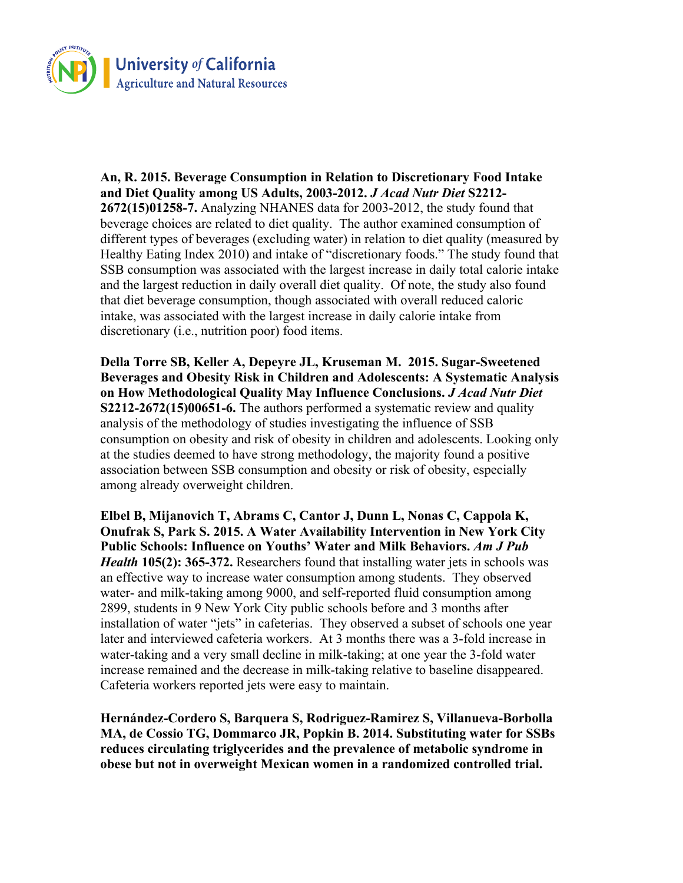

**An, R. 2015. Beverage Consumption in Relation to Discretionary Food Intake and Diet Quality among US Adults, 2003-2012.** *J Acad Nutr Diet* **S2212- 2672(15)01258-7.** Analyzing NHANES data for 2003-2012, the study found that beverage choices are related to diet quality. The author examined consumption of different types of beverages (excluding water) in relation to diet quality (measured by Healthy Eating Index 2010) and intake of "discretionary foods." The study found that SSB consumption was associated with the largest increase in daily total calorie intake and the largest reduction in daily overall diet quality. Of note, the study also found that diet beverage consumption, though associated with overall reduced caloric intake, was associated with the largest increase in daily calorie intake from discretionary (i.e., nutrition poor) food items.

**Della Torre SB, Keller A, Depeyre JL, Kruseman M. 2015. Sugar-Sweetened Beverages and Obesity Risk in Children and Adolescents: A Systematic Analysis on How Methodological Quality May Influence Conclusions.** *J Acad Nutr Diet* **S2212-2672(15)00651-6.** The authors performed a systematic review and quality analysis of the methodology of studies investigating the influence of SSB consumption on obesity and risk of obesity in children and adolescents. Looking only at the studies deemed to have strong methodology, the majority found a positive association between SSB consumption and obesity or risk of obesity, especially among already overweight children.

**Elbel B, Mijanovich T, Abrams C, Cantor J, Dunn L, Nonas C, Cappola K, Onufrak S, Park S. 2015. A Water Availability Intervention in New York City Public Schools: Influence on Youths' Water and Milk Behaviors.** *Am J Pub Health* **105(2): 365-372.** Researchers found that installing water jets in schools was an effective way to increase water consumption among students. They observed water- and milk-taking among 9000, and self-reported fluid consumption among 2899, students in 9 New York City public schools before and 3 months after installation of water "jets" in cafeterias. They observed a subset of schools one year later and interviewed cafeteria workers. At 3 months there was a 3-fold increase in water-taking and a very small decline in milk-taking; at one year the 3-fold water increase remained and the decrease in milk-taking relative to baseline disappeared. Cafeteria workers reported jets were easy to maintain.

**Hernández-Cordero S, Barquera S, Rodriguez-Ramirez S, Villanueva-Borbolla MA, de Cossio TG, Dommarco JR, Popkin B. 2014. Substituting water for SSBs reduces circulating triglycerides and the prevalence of metabolic syndrome in obese but not in overweight Mexican women in a randomized controlled trial.**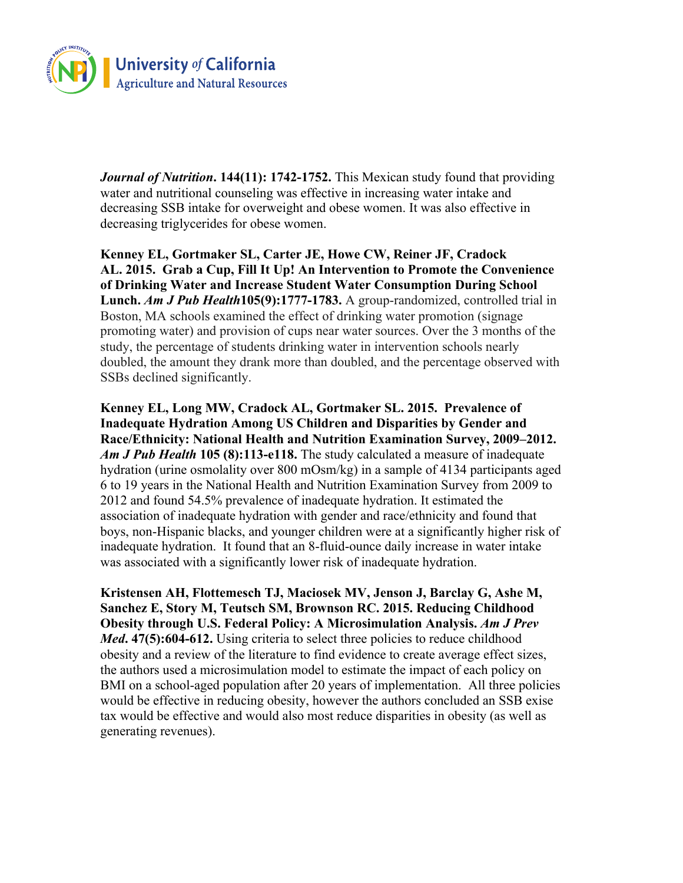

*Journal of Nutrition***. 144(11): 1742-1752.** This Mexican study found that providing water and nutritional counseling was effective in increasing water intake and decreasing SSB intake for overweight and obese women. It was also effective in decreasing triglycerides for obese women.

**Kenney EL, Gortmaker SL, Carter JE, Howe CW, Reiner JF, Cradock AL. 2015. Grab a Cup, Fill It Up! An Intervention to Promote the Convenience of Drinking Water and Increase Student Water Consumption During School Lunch.** *Am J Pub Health***105(9):1777-1783.** A group-randomized, controlled trial in Boston, MA schools examined the effect of drinking water promotion (signage promoting water) and provision of cups near water sources. Over the 3 months of the study, the percentage of students drinking water in intervention schools nearly doubled, the amount they drank more than doubled, and the percentage observed with SSBs declined significantly.

**Kenney EL, Long MW, Cradock AL, Gortmaker SL. 2015. Prevalence of Inadequate Hydration Among US Children and Disparities by Gender and Race/Ethnicity: National Health and Nutrition Examination Survey, 2009–2012.**  *Am J Pub Health* **105 (8):113-e118.** The study calculated a measure of inadequate hydration (urine osmolality over 800 mOsm/kg) in a sample of 4134 participants aged 6 to 19 years in the National Health and Nutrition Examination Survey from 2009 to 2012 and found 54.5% prevalence of inadequate hydration. It estimated the association of inadequate hydration with gender and race/ethnicity and found that boys, non-Hispanic blacks, and younger children were at a significantly higher risk of inadequate hydration. It found that an 8-fluid-ounce daily increase in water intake was associated with a significantly lower risk of inadequate hydration.

**Kristensen AH, Flottemesch TJ, Maciosek MV, Jenson J, Barclay G, Ashe M, Sanchez E, Story M, Teutsch SM, Brownson RC. 2015. Reducing Childhood Obesity through U.S. Federal Policy: A Microsimulation Analysis.** *Am J Prev Med***. 47(5):604-612.** Using criteria to select three policies to reduce childhood obesity and a review of the literature to find evidence to create average effect sizes, the authors used a microsimulation model to estimate the impact of each policy on BMI on a school-aged population after 20 years of implementation. All three policies would be effective in reducing obesity, however the authors concluded an SSB exise tax would be effective and would also most reduce disparities in obesity (as well as generating revenues).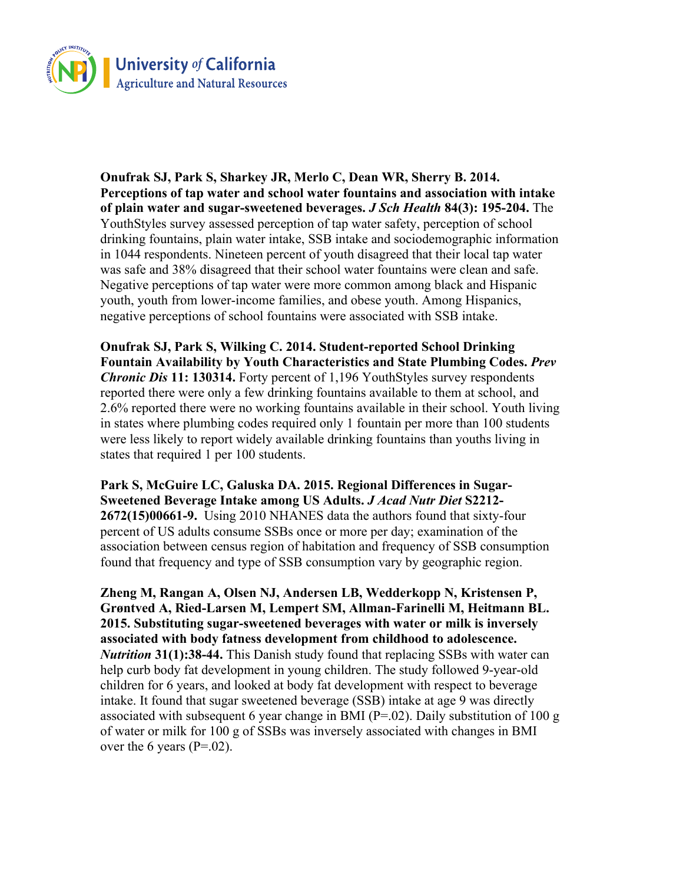

**Onufrak SJ, Park S, Sharkey JR, Merlo C, Dean WR, Sherry B. 2014. Perceptions of tap water and school water fountains and association with intake of plain water and sugar-sweetened beverages.** *J Sch Health* **84(3): 195-204.** The YouthStyles survey assessed perception of tap water safety, perception of school drinking fountains, plain water intake, SSB intake and sociodemographic information in 1044 respondents. Nineteen percent of youth disagreed that their local tap water was safe and 38% disagreed that their school water fountains were clean and safe. Negative perceptions of tap water were more common among black and Hispanic youth, youth from lower-income families, and obese youth. Among Hispanics, negative perceptions of school fountains were associated with SSB intake.

**Onufrak SJ, Park S, Wilking C. 2014. Student-reported School Drinking Fountain Availability by Youth Characteristics and State Plumbing Codes.** *Prev Chronic Dis* **11: 130314.** Forty percent of 1,196 YouthStyles survey respondents reported there were only a few drinking fountains available to them at school, and 2.6% reported there were no working fountains available in their school. Youth living in states where plumbing codes required only 1 fountain per more than 100 students were less likely to report widely available drinking fountains than youths living in states that required 1 per 100 students.

**Park S, McGuire LC, Galuska DA. 2015. Regional Differences in Sugar-Sweetened Beverage Intake among US Adults.** *J Acad Nutr Diet* **S2212- 2672(15)00661-9.** Using 2010 NHANES data the authors found that sixty-four percent of US adults consume SSBs once or more per day; examination of the association between census region of habitation and frequency of SSB consumption found that frequency and type of SSB consumption vary by geographic region.

**Zheng M, Rangan A, Olsen NJ, Andersen LB, Wedderkopp N, Kristensen P, Grøntved A, Ried-Larsen M, Lempert SM, Allman-Farinelli M, Heitmann BL. 2015. Substituting sugar-sweetened beverages with water or milk is inversely associated with body fatness development from childhood to adolescence.**  *Nutrition* **31(1):38-44.** This Danish study found that replacing SSBs with water can help curb body fat development in young children. The study followed 9-year-old children for 6 years, and looked at body fat development with respect to beverage intake. It found that sugar sweetened beverage (SSB) intake at age 9 was directly associated with subsequent 6 year change in BMI ( $P=02$ ). Daily substitution of 100 g of water or milk for 100 g of SSBs was inversely associated with changes in BMI over the 6 years ( $P=.02$ ).